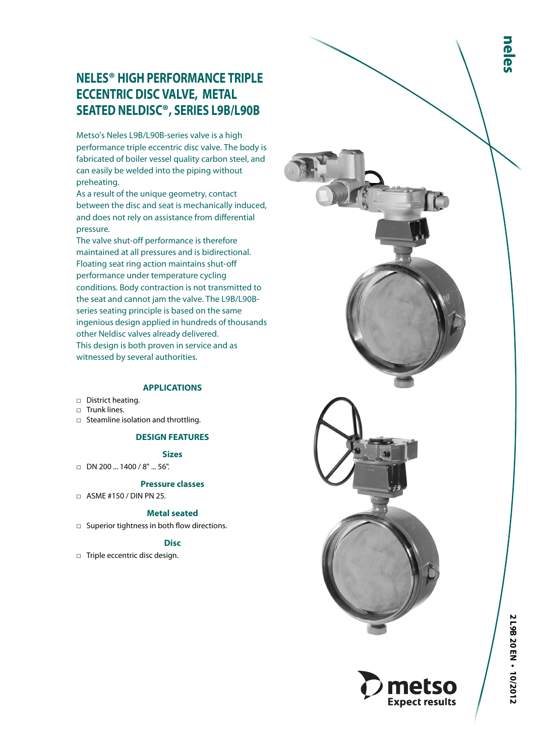# **NELES ® HIGH PERFORMANCE TRIPLE ECCENTRIC DISC VALVE, METAL SEATED NELDISC ®, SERIES L9B/L90B**

Metso's Neles L9B/L90B-series valve is a high performance triple eccentric disc valve. The body is fabricated of boiler vessel quality carbon steel, and can easily be welded into the piping without preheating.

As a result of the unique geometry, contact between the disc and seat is mechanically induced, and does not rely on assistance from differential pressure.

The valve shut-off performance is therefore maintained at all pressures and is bidirectional. Floating seat ring action maintains shut-off performance under temperature cycling conditions. Body contraction is not transmitted to the seat and cannot jam the valve. The L9B/L90Bseries seating principle is based on the same ingenious design applied in hundreds of thousands other Neldisc valves already delivered. This design is both proven in service and as witnessed by several authorities.

## **APPLICATIONS**

- □ District heating.
- □ Trunk lines.
- □ Steamline isolation and throttling.

## **DESIGN FEATURES**

## **Sizes**

□ DN 200 ... 1400 / 8" ... 56".

## **Pressure classes**

□ ASME #150 / DIN PN 25.

## **Metal seated**

□ Superior tightness in both flow directions.

## **Disc**

□ Triple eccentric disc design.



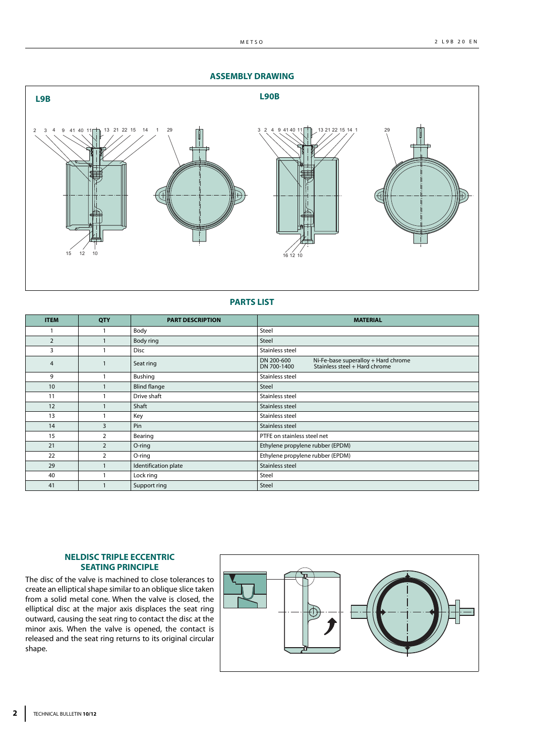#### **ASSEMBLY DRAWING**



#### **PARTS LIST**

| <b>ITEM</b>    | QTY            | <b>PART DESCRIPTION</b> | <b>MATERIAL</b>                                                                                   |  |  |  |
|----------------|----------------|-------------------------|---------------------------------------------------------------------------------------------------|--|--|--|
|                |                | Body                    | Steel                                                                                             |  |  |  |
| $\overline{2}$ |                | Body ring               | Steel                                                                                             |  |  |  |
| 3              |                | <b>Disc</b>             | Stainless steel                                                                                   |  |  |  |
| 4              |                | Seat ring               | DN 200-600<br>Ni-Fe-base superalloy + Hard chrome<br>Stainless steel + Hard chrome<br>DN 700-1400 |  |  |  |
| 9              |                | Bushing                 | Stainless steel                                                                                   |  |  |  |
| 10             |                | <b>Blind flange</b>     | <b>Steel</b>                                                                                      |  |  |  |
| 11             |                | Drive shaft             | Stainless steel                                                                                   |  |  |  |
| 12             |                | Shaft                   | Stainless steel                                                                                   |  |  |  |
| 13             |                | Key                     | Stainless steel                                                                                   |  |  |  |
| 14             | 3              | Pin                     | Stainless steel                                                                                   |  |  |  |
| 15             | 2              | Bearing                 | PTFE on stainless steel net                                                                       |  |  |  |
| 21             | $\overline{2}$ | O-ring                  | Ethylene propylene rubber (EPDM)                                                                  |  |  |  |
| 22             | 2              | O-ring                  | Ethylene propylene rubber (EPDM)                                                                  |  |  |  |
| 29             |                | Identification plate    | Stainless steel                                                                                   |  |  |  |
| 40             |                | Lock ring               | Steel                                                                                             |  |  |  |
| 41             |                | Support ring            | Steel                                                                                             |  |  |  |

#### **NELDISC TRIPLE ECCENTRIC SEATING PRINCIPLE**

The disc of the valve is machined to close tolerances to create an elliptical shape similar to an oblique slice taken from a solid metal cone. When the valve is closed, the elliptical disc at the major axis displaces the seat ring outward, causing the seat ring to contact the disc at the minor axis. When the valve is opened, the contact is released and the seat ring returns to its original circular shape.

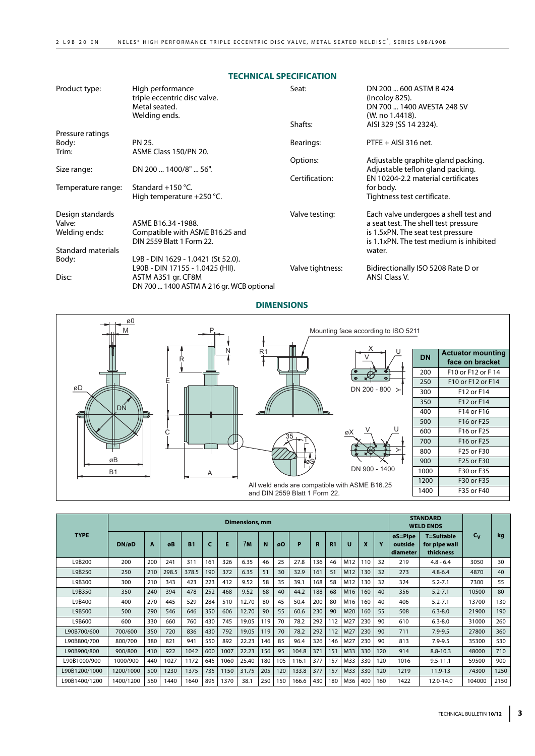### **TECHNICAL SPECIFICATION**

| Product type:                               | High performance<br>triple eccentric disc valve.<br>Metal seated.<br>Welding ends. | Seat:<br>Shafts: | DN 200  600 ASTM B 424<br>(Incoloy 825).<br>DN 700  1400 AVESTA 248 SV<br>(W. no 1.4418).<br>AISI 329 (SS 14 2324).                                           |
|---------------------------------------------|------------------------------------------------------------------------------------|------------------|---------------------------------------------------------------------------------------------------------------------------------------------------------------|
| Pressure ratings                            |                                                                                    |                  |                                                                                                                                                               |
| Body:                                       | PN 25.                                                                             | Bearings:        | $PTFE + AISI 316$ net.                                                                                                                                        |
| Trim:                                       | ASME Class 150/PN 20.                                                              |                  |                                                                                                                                                               |
|                                             |                                                                                    | Options:         | Adjustable graphite gland packing.                                                                                                                            |
| Size range:                                 | DN 200  1400/8"  56".                                                              |                  | Adjustable teflon gland packing.                                                                                                                              |
| Temperature range:                          | Standard $+150$ °C.                                                                | Certification:   | EN 10204-2.2 material certificates<br>for body.                                                                                                               |
|                                             | High temperature $+250$ °C.                                                        |                  | Tightness test certificate.                                                                                                                                   |
| Design standards<br>Valve:<br>Welding ends: | ASME B16.34 -1988.<br>Compatible with ASME B16.25 and<br>DIN 2559 Blatt 1 Form 22. | Valve testing:   | Each valve undergoes a shell test and<br>a seat test. The shell test pressure<br>is 1.5xPN. The seat test pressure<br>is 1.1xPN. The test medium is inhibited |
| Standard materials                          |                                                                                    |                  | water.                                                                                                                                                        |
| Body:                                       | L9B - DIN 1629 - 1.0421 (St 52.0).                                                 |                  |                                                                                                                                                               |
|                                             | L90B - DIN 17155 - 1.0425 (HII).                                                   | Valve tightness: | Bidirectionally ISO 5208 Rate D or                                                                                                                            |
| Disc:                                       | ASTM A351 gr. CF8M<br>DN 700  1400 ASTM A 216 gr. WCB optional                     |                  | ANSI Class V.                                                                                                                                                 |

## **DIMENSIONS**



|               | <b>Dimensions, mm</b> |     |       |           |     |      |       |     | <b>STANDARD</b><br><b>WELD ENDS</b> |       |     |     |     |                  |     |                                                          |                                                 |        |      |
|---------------|-----------------------|-----|-------|-----------|-----|------|-------|-----|-------------------------------------|-------|-----|-----|-----|------------------|-----|----------------------------------------------------------|-------------------------------------------------|--------|------|
| <b>TYPE</b>   | DN/øD                 | A   | øB    | <b>B1</b> | c   | Е    | ?M    | N   | øΟ                                  | P     | R   | R1  | u   | $\boldsymbol{x}$ | v   | $\boldsymbol{\varnothing}$ S=Pipe<br>outside<br>diameter | <b>T=Suitable</b><br>for pipe wall<br>thickness | $c_v$  | kg   |
| L9B200        | 200                   | 200 | 241   | 311       | 161 | 326  | 6.35  | 46  | 25                                  | 27.8  | 136 | 46  | M12 | 110              | 32  | 219                                                      | $4.8 - 6.4$                                     | 3050   | 30   |
| L9B250        | 250                   | 210 | 298.5 | 378.5     | 190 | 372  | 6.35  | 51  | 30                                  | 32.9  | 161 | 51  | M12 | 130              | 32  | 273                                                      | $4.8 - 6.4$                                     | 4870   | 40   |
| L9B300        | 300                   | 210 | 343   | 423       | 223 | 412  | 9.52  | 58  | 35                                  | 39.1  | 168 | 58  | M12 | 130              | 32  | 324                                                      | $5.2 - 7.1$                                     | 7300   | 55   |
| L9B350        | 350                   | 240 | 394   | 478       | 252 | 468  | 9.52  | 68  | 40                                  | 44.2  | 188 | 68  | M16 | 160              | 40  | 356                                                      | $5.2 - 7.1$                                     | 10500  | 80   |
| L9B400        | 400                   | 270 | 445   | 529       | 284 | 510  | 12.70 | 80  | 45                                  | 50.4  | 200 | 80  | M16 | 160              | 40  | 406                                                      | $5.2 - 7.1$                                     | 13700  | 130  |
| L9B500        | 500                   | 290 | 546   | 646       | 350 | 606  | 12.70 | 90  | 55                                  | 60.6  | 230 | 90  | M20 | 160              | 55  | 508                                                      | $6.3 - 8.0$                                     | 21900  | 190  |
| L9B600        | 600                   | 330 | 660   | 760       | 430 | 745  | 19.05 | 119 | 70                                  | 78.2  | 292 | 112 | M27 | 230              | 90  | 610                                                      | $6.3 - 8.0$                                     | 31000  | 260  |
| L90B700/600   | 700/600               | 350 | 720   | 836       | 430 | 792  | 19.05 | 119 | 70                                  | 78.2  | 292 | 112 | M27 | 230              | 90  | 711                                                      | $7.9 - 9.5$                                     | 27800  | 360  |
| L90B800/700   | 800/700               | 380 | 821   | 941       | 550 | 892  | 22.23 | 146 | 85                                  | 96.4  | 326 | 146 | M27 | 230              | 90  | 813                                                      | $7.9 - 9.5$                                     | 35300  | 530  |
| L90B900/800   | 900/800               | 410 | 922   | 1042      | 600 | 1007 | 22.23 | 156 | 95                                  | 104.8 | 371 | 151 | M33 | 330              | 120 | 914                                                      | $8.8 - 10.3$                                    | 48000  | 710  |
| L90B1000/900  | 1000/900              | 440 | 1027  | 1172      | 645 | 1060 | 25.40 | 180 | 105                                 | 116.1 | 377 | 157 | M33 | 330              | 120 | 1016                                                     | $9.5 - 11.1$                                    | 59500  | 900  |
| L90B1200/1000 | 1200/1000             | 500 | 1230  | 1375      | 735 | 1150 | 31.75 | 205 | 120                                 | 133.8 | 377 | 157 | M33 | 330              | 120 | 1219                                                     | 11.9-13                                         | 74300  | 1250 |
| L90B1400/1200 | 1400/1200             | 560 | 1440  | 1640      | 895 | 1370 | 38.1  | 250 | 150                                 | 166.6 | 430 | 180 | M36 | 400              | 160 | 1422                                                     | 12.0-14.0                                       | 104000 | 2150 |